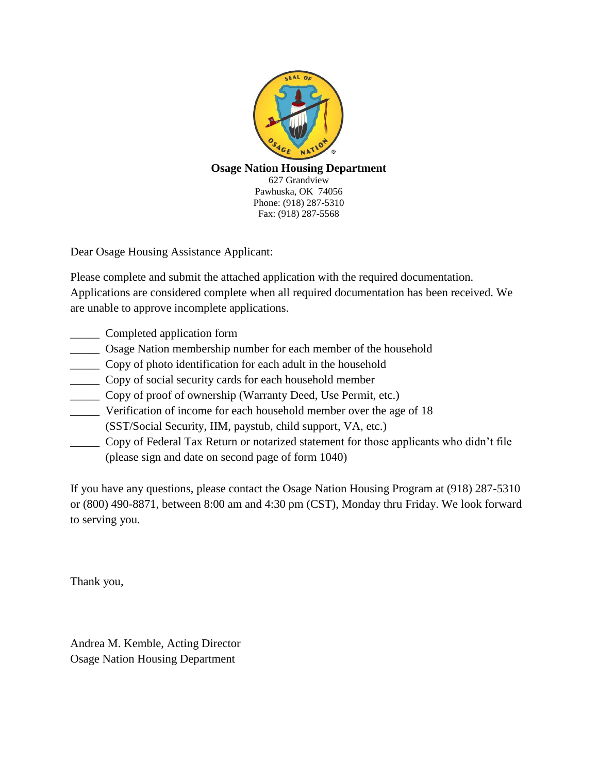

# **Osage Nation Housing Department**

627 Grandview Pawhuska, OK 74056 Phone: (918) 287-5310 Fax: (918) 287-5568

Dear Osage Housing Assistance Applicant:

Please complete and submit the attached application with the required documentation. Applications are considered complete when all required documentation has been received. We are unable to approve incomplete applications.

- \_\_\_\_\_ Completed application form
- \_\_\_\_\_ Osage Nation membership number for each member of the household
- \_\_\_\_\_ Copy of photo identification for each adult in the household
- \_\_\_\_\_ Copy of social security cards for each household member
- \_\_\_\_\_ Copy of proof of ownership (Warranty Deed, Use Permit, etc.)
- Verification of income for each household member over the age of 18 (SST/Social Security, IIM, paystub, child support, VA, etc.)
- \_\_\_\_\_ Copy of Federal Tax Return or notarized statement for those applicants who didn't file (please sign and date on second page of form 1040)

If you have any questions, please contact the Osage Nation Housing Program at (918) 287-5310 or (800) 490-8871, between 8:00 am and 4:30 pm (CST), Monday thru Friday. We look forward to serving you.

Thank you,

Andrea M. Kemble, Acting Director Osage Nation Housing Department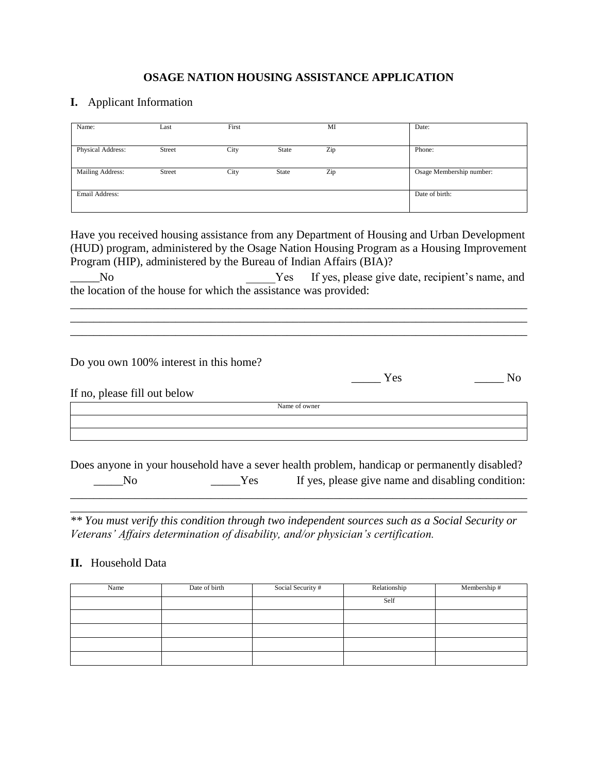## **OSAGE NATION HOUSING ASSISTANCE APPLICATION**

### **I.** Applicant Information

| Name:             | Last   | First |       | MI  | Date:                    |
|-------------------|--------|-------|-------|-----|--------------------------|
|                   |        |       |       |     |                          |
| Physical Address: | Street | City  | State | Zip | Phone:                   |
|                   |        |       |       |     |                          |
| Mailing Address:  | Street | City  | State | Zip | Osage Membership number: |
|                   |        |       |       |     |                          |
| Email Address:    |        |       |       |     | Date of birth:           |
|                   |        |       |       |     |                          |

Have you received housing assistance from any Department of Housing and Urban Development (HUD) program, administered by the Osage Nation Housing Program as a Housing Improvement Program (HIP), administered by the Bureau of Indian Affairs (BIA)?

No No Nes If yes, please give date, recipient's name, and the location of the house for which the assistance was provided:

\_\_\_\_\_\_\_\_\_\_\_\_\_\_\_\_\_\_\_\_\_\_\_\_\_\_\_\_\_\_\_\_\_\_\_\_\_\_\_\_\_\_\_\_\_\_\_\_\_\_\_\_\_\_\_\_\_\_\_\_\_\_\_\_\_\_\_\_\_\_\_\_\_\_\_\_\_\_ \_\_\_\_\_\_\_\_\_\_\_\_\_\_\_\_\_\_\_\_\_\_\_\_\_\_\_\_\_\_\_\_\_\_\_\_\_\_\_\_\_\_\_\_\_\_\_\_\_\_\_\_\_\_\_\_\_\_\_\_\_\_\_\_\_\_\_\_\_\_\_\_\_\_\_\_\_\_ \_\_\_\_\_\_\_\_\_\_\_\_\_\_\_\_\_\_\_\_\_\_\_\_\_\_\_\_\_\_\_\_\_\_\_\_\_\_\_\_\_\_\_\_\_\_\_\_\_\_\_\_\_\_\_\_\_\_\_\_\_\_\_\_\_\_\_\_\_\_\_\_\_\_\_\_\_\_

Do you own 100% interest in this home?

Yes No

If no, please fill out below

Name of owner

Does anyone in your household have a sever health problem, handicap or permanently disabled? No Samples 2013 Mo September 18, 2013 Mo September 2014 Mo September 2014 Mo September 2014 Mo September 2014 Mo September 2014 Mo September 2014 Mo September 2014 Mo September 2014 Mo September 2014 Mo September 2014 Mo S \_\_\_\_\_\_\_\_\_\_\_\_\_\_\_\_\_\_\_\_\_\_\_\_\_\_\_\_\_\_\_\_\_\_\_\_\_\_\_\_\_\_\_\_\_\_\_\_\_\_\_\_\_\_\_\_\_\_\_\_\_\_\_\_\_\_\_\_\_\_\_\_\_\_\_\_\_\_

\_\_\_\_\_\_\_\_\_\_\_\_\_\_\_\_\_\_\_\_\_\_\_\_\_\_\_\_\_\_\_\_\_\_\_\_\_\_\_\_\_\_\_\_\_\_\_\_\_\_\_\_\_\_\_\_\_\_\_\_\_\_\_\_\_\_\_\_\_\_\_\_\_\_\_\_\_\_

*\*\* You must verify this condition through two independent sources such as a Social Security or Veterans' Affairs determination of disability, and/or physician's certification.*

#### **II.** Household Data

| Name | Date of birth | Social Security # | Relationship | Membership # |
|------|---------------|-------------------|--------------|--------------|
|      |               |                   | Self         |              |
|      |               |                   |              |              |
|      |               |                   |              |              |
|      |               |                   |              |              |
|      |               |                   |              |              |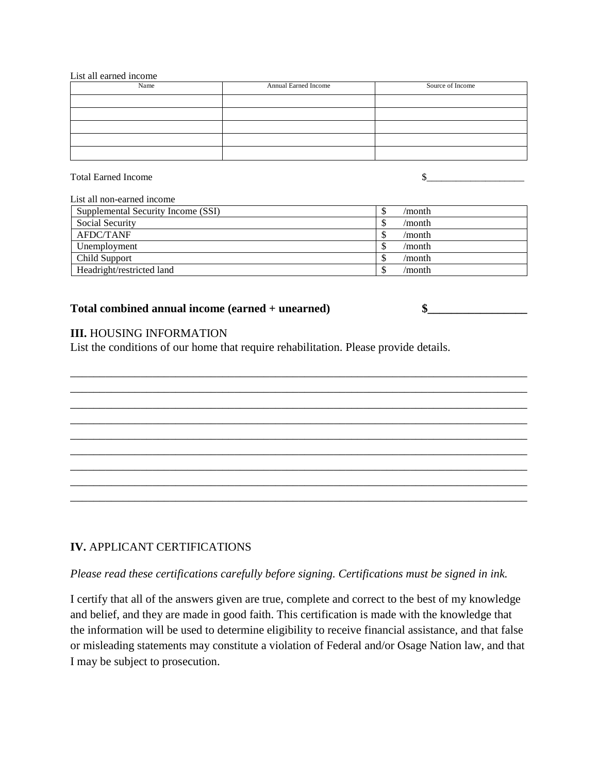List all earned income

| Name | Annual Earned Income | Source of Income |
|------|----------------------|------------------|
|      |                      |                  |
|      |                      |                  |
|      |                      |                  |
|      |                      |                  |
|      |                      |                  |

Total Earned Income  $\sim$ 

List all non-earned income

| Supplemental Security Income (SSI) | /month |
|------------------------------------|--------|
| Social Security                    | /month |
| AFDC/TANF                          | /month |
| Unemployment                       | /month |
| Child Support                      | /month |
| Headright/restricted land          | /month |

\_\_\_\_\_\_\_\_\_\_\_\_\_\_\_\_\_\_\_\_\_\_\_\_\_\_\_\_\_\_\_\_\_\_\_\_\_\_\_\_\_\_\_\_\_\_\_\_\_\_\_\_\_\_\_\_\_\_\_\_\_\_\_\_\_\_\_\_\_\_\_\_\_\_\_\_\_\_ \_\_\_\_\_\_\_\_\_\_\_\_\_\_\_\_\_\_\_\_\_\_\_\_\_\_\_\_\_\_\_\_\_\_\_\_\_\_\_\_\_\_\_\_\_\_\_\_\_\_\_\_\_\_\_\_\_\_\_\_\_\_\_\_\_\_\_\_\_\_\_\_\_\_\_\_\_\_ \_\_\_\_\_\_\_\_\_\_\_\_\_\_\_\_\_\_\_\_\_\_\_\_\_\_\_\_\_\_\_\_\_\_\_\_\_\_\_\_\_\_\_\_\_\_\_\_\_\_\_\_\_\_\_\_\_\_\_\_\_\_\_\_\_\_\_\_\_\_\_\_\_\_\_\_\_\_ \_\_\_\_\_\_\_\_\_\_\_\_\_\_\_\_\_\_\_\_\_\_\_\_\_\_\_\_\_\_\_\_\_\_\_\_\_\_\_\_\_\_\_\_\_\_\_\_\_\_\_\_\_\_\_\_\_\_\_\_\_\_\_\_\_\_\_\_\_\_\_\_\_\_\_\_\_\_ \_\_\_\_\_\_\_\_\_\_\_\_\_\_\_\_\_\_\_\_\_\_\_\_\_\_\_\_\_\_\_\_\_\_\_\_\_\_\_\_\_\_\_\_\_\_\_\_\_\_\_\_\_\_\_\_\_\_\_\_\_\_\_\_\_\_\_\_\_\_\_\_\_\_\_\_\_\_ \_\_\_\_\_\_\_\_\_\_\_\_\_\_\_\_\_\_\_\_\_\_\_\_\_\_\_\_\_\_\_\_\_\_\_\_\_\_\_\_\_\_\_\_\_\_\_\_\_\_\_\_\_\_\_\_\_\_\_\_\_\_\_\_\_\_\_\_\_\_\_\_\_\_\_\_\_\_ \_\_\_\_\_\_\_\_\_\_\_\_\_\_\_\_\_\_\_\_\_\_\_\_\_\_\_\_\_\_\_\_\_\_\_\_\_\_\_\_\_\_\_\_\_\_\_\_\_\_\_\_\_\_\_\_\_\_\_\_\_\_\_\_\_\_\_\_\_\_\_\_\_\_\_\_\_\_ \_\_\_\_\_\_\_\_\_\_\_\_\_\_\_\_\_\_\_\_\_\_\_\_\_\_\_\_\_\_\_\_\_\_\_\_\_\_\_\_\_\_\_\_\_\_\_\_\_\_\_\_\_\_\_\_\_\_\_\_\_\_\_\_\_\_\_\_\_\_\_\_\_\_\_\_\_\_ \_\_\_\_\_\_\_\_\_\_\_\_\_\_\_\_\_\_\_\_\_\_\_\_\_\_\_\_\_\_\_\_\_\_\_\_\_\_\_\_\_\_\_\_\_\_\_\_\_\_\_\_\_\_\_\_\_\_\_\_\_\_\_\_\_\_\_\_\_\_\_\_\_\_\_\_\_\_

#### Total combined annual income (earned + unearned)  $\quad \$

**III.** HOUSING INFORMATION

List the conditions of our home that require rehabilitation. Please provide details.

## **IV.** APPLICANT CERTIFICATIONS

*Please read these certifications carefully before signing. Certifications must be signed in ink.*

I certify that all of the answers given are true, complete and correct to the best of my knowledge and belief, and they are made in good faith. This certification is made with the knowledge that the information will be used to determine eligibility to receive financial assistance, and that false or misleading statements may constitute a violation of Federal and/or Osage Nation law, and that I may be subject to prosecution.